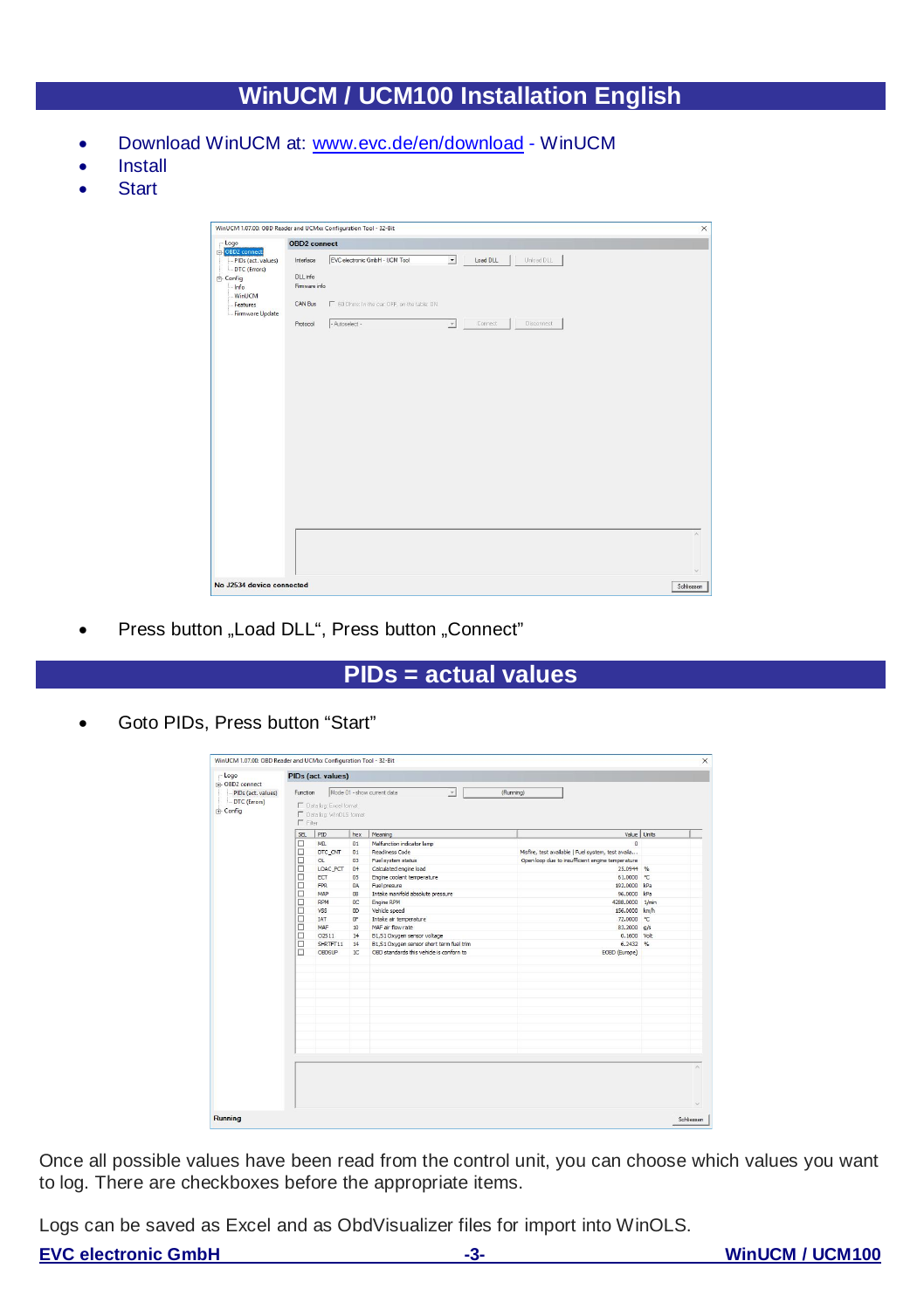# **WinUCM / UCM100 Installation English**

- · Download WinUCM at: www.evc.de/en/download WinUCM
- **Install**
- · Start

| $-$ Logo                                              | <b>OBD2</b> connect       |                                              |                                             |          |  |  |  |
|-------------------------------------------------------|---------------------------|----------------------------------------------|---------------------------------------------|----------|--|--|--|
| C-OBD2 connect<br>PIDs (act. values)<br>-DTC (Errors) | Interface                 | EVC electronic GmbH - UCM Tool               | $\overline{z}$<br>Unload DLL<br>Load DLL    |          |  |  |  |
| $E$ -Config<br>- Info<br>- WinUCM                     | DLL info<br>Firmware info |                                              |                                             |          |  |  |  |
| Features<br>- Firmware Update                         | CAN Bus                   | F 60 Ohms: In the par. OFF, on the table: ON |                                             |          |  |  |  |
|                                                       | Protocol                  | $-Antoselect -$                              | Disconnect<br>Connect<br>$\boldsymbol{\nu}$ |          |  |  |  |
|                                                       |                           |                                              |                                             |          |  |  |  |
|                                                       |                           |                                              |                                             |          |  |  |  |
|                                                       |                           |                                              |                                             |          |  |  |  |
|                                                       |                           |                                              |                                             |          |  |  |  |
|                                                       |                           |                                              |                                             |          |  |  |  |
|                                                       |                           |                                              |                                             |          |  |  |  |
|                                                       |                           |                                              |                                             |          |  |  |  |
|                                                       |                           |                                              |                                             |          |  |  |  |
|                                                       |                           |                                              |                                             |          |  |  |  |
|                                                       |                           |                                              |                                             |          |  |  |  |
|                                                       |                           |                                              |                                             |          |  |  |  |
|                                                       |                           |                                              |                                             |          |  |  |  |
|                                                       |                           |                                              |                                             |          |  |  |  |
|                                                       |                           |                                              |                                             | $\wedge$ |  |  |  |
|                                                       |                           |                                              |                                             |          |  |  |  |

• Press button "Load DLL", Press button "Connect"

### **PIDs = actual values**

· Goto PIDs, Press button "Start"

|                                                                                  | PIDs (act. values)                                                                                    |                                                                                                        |                                                                                                                                         |                                                                                                                                                                                                                                                                                                                                                                                                                      |                                                                                                                                                                                                                                                                                                  |  |  |  |  |
|----------------------------------------------------------------------------------|-------------------------------------------------------------------------------------------------------|--------------------------------------------------------------------------------------------------------|-----------------------------------------------------------------------------------------------------------------------------------------|----------------------------------------------------------------------------------------------------------------------------------------------------------------------------------------------------------------------------------------------------------------------------------------------------------------------------------------------------------------------------------------------------------------------|--------------------------------------------------------------------------------------------------------------------------------------------------------------------------------------------------------------------------------------------------------------------------------------------------|--|--|--|--|
| Mode 01 - show current data<br>Function<br>(Running)<br>$\overline{\phantom{a}}$ |                                                                                                       |                                                                                                        |                                                                                                                                         |                                                                                                                                                                                                                                                                                                                                                                                                                      |                                                                                                                                                                                                                                                                                                  |  |  |  |  |
| E Data log Excel format<br>C Data log WinGLS format<br>$\Gamma$ Fine             |                                                                                                       |                                                                                                        |                                                                                                                                         |                                                                                                                                                                                                                                                                                                                                                                                                                      |                                                                                                                                                                                                                                                                                                  |  |  |  |  |
| SB.                                                                              | PID                                                                                                   | hex                                                                                                    |                                                                                                                                         |                                                                                                                                                                                                                                                                                                                                                                                                                      |                                                                                                                                                                                                                                                                                                  |  |  |  |  |
|                                                                                  |                                                                                                       |                                                                                                        |                                                                                                                                         | $\alpha$                                                                                                                                                                                                                                                                                                                                                                                                             |                                                                                                                                                                                                                                                                                                  |  |  |  |  |
|                                                                                  |                                                                                                       |                                                                                                        |                                                                                                                                         |                                                                                                                                                                                                                                                                                                                                                                                                                      |                                                                                                                                                                                                                                                                                                  |  |  |  |  |
|                                                                                  |                                                                                                       |                                                                                                        |                                                                                                                                         |                                                                                                                                                                                                                                                                                                                                                                                                                      |                                                                                                                                                                                                                                                                                                  |  |  |  |  |
|                                                                                  |                                                                                                       |                                                                                                        |                                                                                                                                         |                                                                                                                                                                                                                                                                                                                                                                                                                      |                                                                                                                                                                                                                                                                                                  |  |  |  |  |
|                                                                                  |                                                                                                       |                                                                                                        |                                                                                                                                         |                                                                                                                                                                                                                                                                                                                                                                                                                      |                                                                                                                                                                                                                                                                                                  |  |  |  |  |
|                                                                                  |                                                                                                       |                                                                                                        |                                                                                                                                         |                                                                                                                                                                                                                                                                                                                                                                                                                      |                                                                                                                                                                                                                                                                                                  |  |  |  |  |
|                                                                                  |                                                                                                       |                                                                                                        |                                                                                                                                         |                                                                                                                                                                                                                                                                                                                                                                                                                      |                                                                                                                                                                                                                                                                                                  |  |  |  |  |
|                                                                                  |                                                                                                       |                                                                                                        |                                                                                                                                         |                                                                                                                                                                                                                                                                                                                                                                                                                      |                                                                                                                                                                                                                                                                                                  |  |  |  |  |
|                                                                                  |                                                                                                       |                                                                                                        |                                                                                                                                         |                                                                                                                                                                                                                                                                                                                                                                                                                      |                                                                                                                                                                                                                                                                                                  |  |  |  |  |
|                                                                                  |                                                                                                       |                                                                                                        |                                                                                                                                         |                                                                                                                                                                                                                                                                                                                                                                                                                      |                                                                                                                                                                                                                                                                                                  |  |  |  |  |
|                                                                                  |                                                                                                       |                                                                                                        |                                                                                                                                         |                                                                                                                                                                                                                                                                                                                                                                                                                      |                                                                                                                                                                                                                                                                                                  |  |  |  |  |
|                                                                                  |                                                                                                       |                                                                                                        |                                                                                                                                         |                                                                                                                                                                                                                                                                                                                                                                                                                      |                                                                                                                                                                                                                                                                                                  |  |  |  |  |
|                                                                                  |                                                                                                       |                                                                                                        |                                                                                                                                         |                                                                                                                                                                                                                                                                                                                                                                                                                      |                                                                                                                                                                                                                                                                                                  |  |  |  |  |
|                                                                                  |                                                                                                       |                                                                                                        |                                                                                                                                         |                                                                                                                                                                                                                                                                                                                                                                                                                      |                                                                                                                                                                                                                                                                                                  |  |  |  |  |
|                                                                                  |                                                                                                       |                                                                                                        |                                                                                                                                         |                                                                                                                                                                                                                                                                                                                                                                                                                      |                                                                                                                                                                                                                                                                                                  |  |  |  |  |
|                                                                                  |                                                                                                       |                                                                                                        |                                                                                                                                         |                                                                                                                                                                                                                                                                                                                                                                                                                      |                                                                                                                                                                                                                                                                                                  |  |  |  |  |
|                                                                                  |                                                                                                       |                                                                                                        |                                                                                                                                         |                                                                                                                                                                                                                                                                                                                                                                                                                      |                                                                                                                                                                                                                                                                                                  |  |  |  |  |
|                                                                                  |                                                                                                       |                                                                                                        |                                                                                                                                         |                                                                                                                                                                                                                                                                                                                                                                                                                      |                                                                                                                                                                                                                                                                                                  |  |  |  |  |
|                                                                                  |                                                                                                       |                                                                                                        |                                                                                                                                         |                                                                                                                                                                                                                                                                                                                                                                                                                      |                                                                                                                                                                                                                                                                                                  |  |  |  |  |
|                                                                                  |                                                                                                       |                                                                                                        |                                                                                                                                         |                                                                                                                                                                                                                                                                                                                                                                                                                      |                                                                                                                                                                                                                                                                                                  |  |  |  |  |
|                                                                                  |                                                                                                       |                                                                                                        |                                                                                                                                         |                                                                                                                                                                                                                                                                                                                                                                                                                      |                                                                                                                                                                                                                                                                                                  |  |  |  |  |
|                                                                                  | п<br>□<br>□<br>$\Box$<br>□<br>$\Box$<br>$\Box$<br>$\Box$<br>$\Box$<br>□<br>$\Box$<br>□<br>$\Box$<br>п | MB.<br>DTC CNT<br>α<br>ECT<br><b>FPR</b><br>MAP<br>RPM<br><b>VSS</b><br>IAT<br>MAF<br>O2S11<br>CRDS IP | 01<br>01<br>03<br>LOAC PCT<br>04<br>05<br><b>GA</b><br><b>GR</b><br>0C<br>m<br>OF.<br>10 <sub>1</sub><br>14<br>SHRTFT11<br>14<br>$10-1$ | <b>Meaning</b><br>Malfunction indicator lamp<br>Readiness Code<br>Fuel system status<br>Calculated engine load<br>Engine coolent temperature<br><b>Nel presure</b><br>Intake manifold absolute pressure<br><b>Engine RPM</b><br>Vehicle speed<br>Intake air temperature<br>MAF air flow rate<br>B1.\$1 Oxygen sensor voltage<br>B1.51 Oxygen sensor short term fuel trim<br>ORD standards this vehicle is confirm to | Value Units<br>Misfire, test available I Fuel system, test availa<br>Open loop due to insufficient engine temperature<br>25.0944 %<br>61.0000 °C<br>192.0000 kPa<br>96.0000 kPa<br>4288.0000 1/min<br>156,0000 km/h<br>72,0000 °C<br>83.2000 g/s<br>0.1600 Volt<br>$6.2432 - %$<br>EOED (Europe) |  |  |  |  |

Once all possible values have been read from the control unit, you can choose which values you want to log. There are checkboxes before the appropriate items.

Logs can be saved as Excel and as ObdVisualizer files for import into WinOLS.

#### **EVC electronic GmbH -3- WinUCM / UCM100**